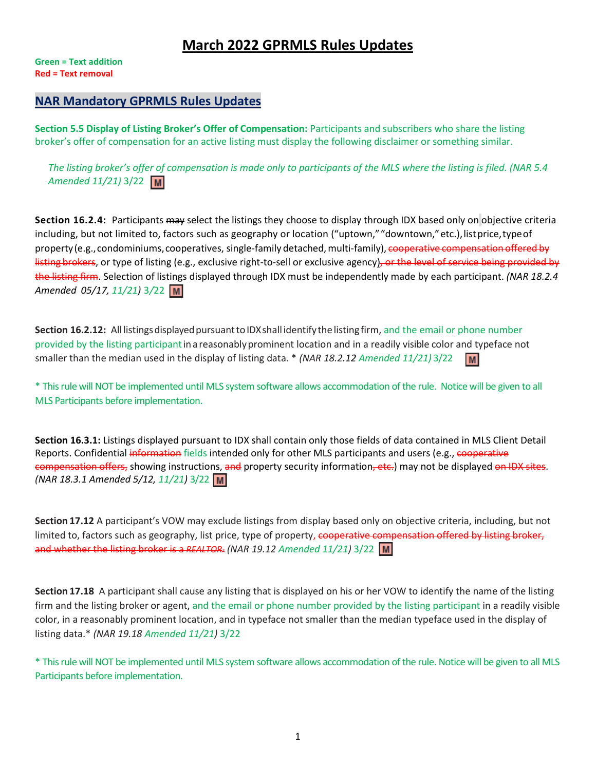# **March 2022 GPRMLS Rules Updates**

**Green = Text addition Red = Text removal**

## **NAR Mandatory GPRMLS Rules Updates**

**Section 5.5 Display of Listing Broker's Offer of Compensation:** Participants and subscribers who share the listing broker's offer of compensation for an active listing must display the following disclaimer or something similar.

*The listing broker's offer of compensation is made only to participants of the MLS where the listing is filed. (NAR 5.4 Amended 11/21)* 3/22

**Section 16.2.4:** Participants may select the listings they choose to display through IDX based only on objective criteria including, but not limited to, factors such as geography or location ("uptown," "downtown," etc.), listprice,type of property (e.g., condominiums, cooperatives, single-family detached, multi-family), cooperative compensation offered by listing brokers, or type of listing (e.g., exclusive right-to-sell or exclusive agency), or the level of service being provided by the listing firm. Selection of listings displayed through IDX must be independently made by each participant. *(NAR 18.2.4 Amended 05/17, 11/21)* 3*/*22

**Section 16.2.12:** All listings displayed pursuant to IDX shall identify the listing firm, and the email or phone number provided by the listing participant in a reasonably prominent location and in a readily visible color and typeface not smaller than the median used in the display of listing data. \* *(NAR 18.2.12 Amended 11/21)* 3/22 **M** 

\* This rule will NOT be implemented until MLS system software allows accommodation of the rule. Notice will be given to all MLS Participants before implementation.

**Section 16.3.1:** Listings displayed pursuant to IDX shall contain only those fields of data contained in MLS Client Detail Reports. Confidential information fields intended only for other MLS participants and users (e.g., cooperative compensation offers, showing instructions, and property security information, etc.) may not be displayed on IDX sites. *(NAR 18.3.1 Amended 5/12, 11/21)* 3/22

**Section 17.12** A participant's VOW may exclude listings from display based only on objective criteria, including, but not limited to, factors such as geography, list price, type of property, cooperative compensation offered by listing broker, and whether the listing broker is a REALTOR<sup>®</sup>. (NAR 19.12 Amended 11/21) 3/22 M

**Section 17.18** A participant shall cause any listing that is displayed on his or her VOW to identify the name of the listing firm and the listing broker or agent, and the email or phone number provided by the listing participant in a readily visible color, in a reasonably prominent location, and in typeface not smaller than the median typeface used in the display of listing data.\* *(NAR 19.18 Amended 11/21)* 3/22

\* This rule will NOT be implemented until MLS system software allows accommodation of the rule. Notice will be given to all MLS Participants before implementation.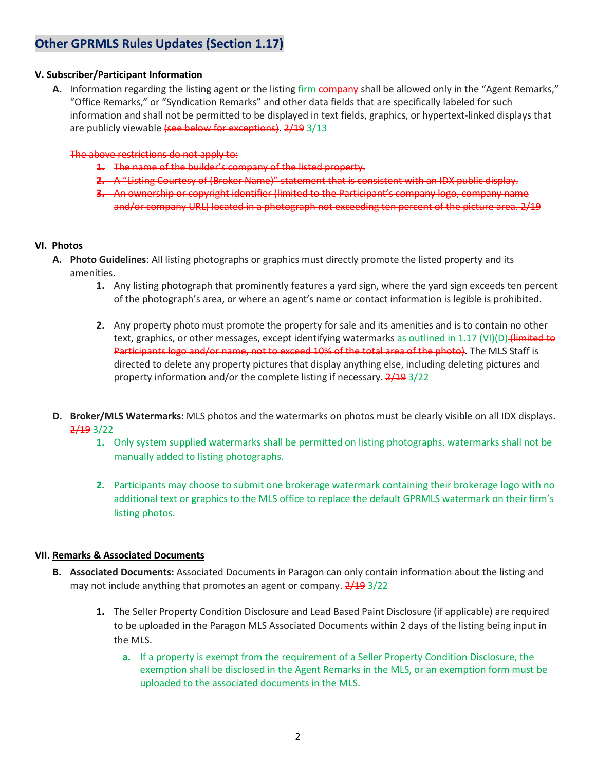## **Other GPRMLS Rules Updates (Section 1.17)**

#### **V. Subscriber/Participant Information**

A. Information regarding the listing agent or the listing firm company shall be allowed only in the "Agent Remarks," "Office Remarks," or "Syndication Remarks" and other data fields that are specifically labeled for such information and shall not be permitted to be displayed in text fields, graphics, or hypertext-linked displays that are publicly viewable (see below for exceptions). 2/19 3/13

#### The above restrictions do not apply to:

- **1.** The name of the builder's company of the listed property.
- **2.** A "Listing Courtesy of (Broker Name)" statement that is consistent with an IDX public display.
- **3.** An ownership or copyright identifier (limited to the Participant's company logo, company name and/or company URL) located in a photograph not exceeding ten percent of the picture area. 2/19

#### **VI. Photos**

- **A. Photo Guidelines**: All listing photographs or graphics must directly promote the listed property and its amenities.
	- **1.** Any listing photograph that prominently features a yard sign, where the yard sign exceeds ten percent of the photograph's area, or where an agent's name or contact information is legible is prohibited.
	- **2.** Any property photo must promote the property for sale and its amenities and is to contain no other text, graphics, or other messages, except identifying watermarks as outlined in 1.17 (VI)(D) (limited to Participants logo and/or name, not to exceed 10% of the total area of the photo). The MLS Staff is directed to delete any property pictures that display anything else, including deleting pictures and property information and/or the complete listing if necessary. 2/19 3/22
- **D. Broker/MLS Watermarks:** MLS photos and the watermarks on photos must be clearly visible on all IDX displays. 2/19 3/22
	- **1.** Only system supplied watermarks shall be permitted on listing photographs, watermarks shall not be manually added to listing photographs.
	- **2.** Participants may choose to submit one brokerage watermark containing their brokerage logo with no additional text or graphics to the MLS office to replace the default GPRMLS watermark on their firm's listing photos.

#### **VII. Remarks & Associated Documents**

- **B. Associated Documents:** Associated Documents in Paragon can only contain information about the listing and may not include anything that promotes an agent or company.  $2/19$  3/22
	- **1.** The Seller Property Condition Disclosure and Lead Based Paint Disclosure (if applicable) are required to be uploaded in the Paragon MLS Associated Documents within 2 days of the listing being input in the MLS.
		- **a.** If a property is exempt from the requirement of a Seller Property Condition Disclosure, the exemption shall be disclosed in the Agent Remarks in the MLS, or an exemption form must be uploaded to the associated documents in the MLS.